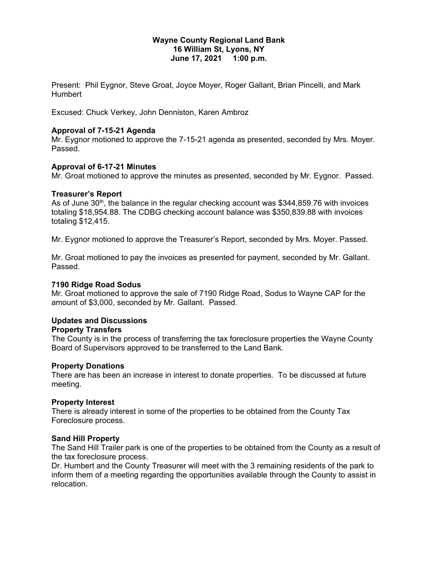#### **Wayne County Regional Land Bank 16 William St, Lyons, NY June 17, 2021 1:00 p.m.**

Present: Phil Eygnor, Steve Groat, Joyce Moyer, Roger Gallant, Brian Pincelli, and Mark Humbert

Excused: Chuck Verkey, John Denniston, Karen Ambroz

#### **Approval of 7-15-21 Agenda**

Mr. Eygnor motioned to approve the 7-15-21 agenda as presented, seconded by Mrs. Moyer. Passed.

#### **Approval of 6-17-21 Minutes**

Mr. Groat motioned to approve the minutes as presented, seconded by Mr. Eygnor. Passed.

#### **Treasurer's Report**

As of June  $30<sup>th</sup>$ , the balance in the regular checking account was \$344,859.76 with invoices totaling \$18,954.88. The CDBG checking account balance was \$350,839.88 with invoices totaling \$12,415.

Mr. Eygnor motioned to approve the Treasurer's Report, seconded by Mrs. Moyer. Passed.

Mr. Groat motioned to pay the invoices as presented for payment, seconded by Mr. Gallant. Passed.

#### **7190 Ridge Road Sodus**

Mr. Groat motioned to approve the sale of 7190 Ridge Road, Sodus to Wayne CAP for the amount of \$3,000, seconded by Mr. Gallant. Passed.

# **Updates and Discussions**

#### **Property Transfers**

The County is in the process of transferring the tax foreclosure properties the Wayne County Board of Supervisors approved to be transferred to the Land Bank.

#### **Property Donations**

There are has been an increase in interest to donate properties. To be discussed at future meeting.

#### **Property Interest**

There is already interest in some of the properties to be obtained from the County Tax Foreclosure process.

#### **Sand Hill Property**

The Sand Hill Trailer park is one of the properties to be obtained from the County as a result of the tax foreclosure process.

Dr. Humbert and the County Treasurer will meet with the 3 remaining residents of the park to inform them of a meeting regarding the opportunities available through the County to assist in relocation.